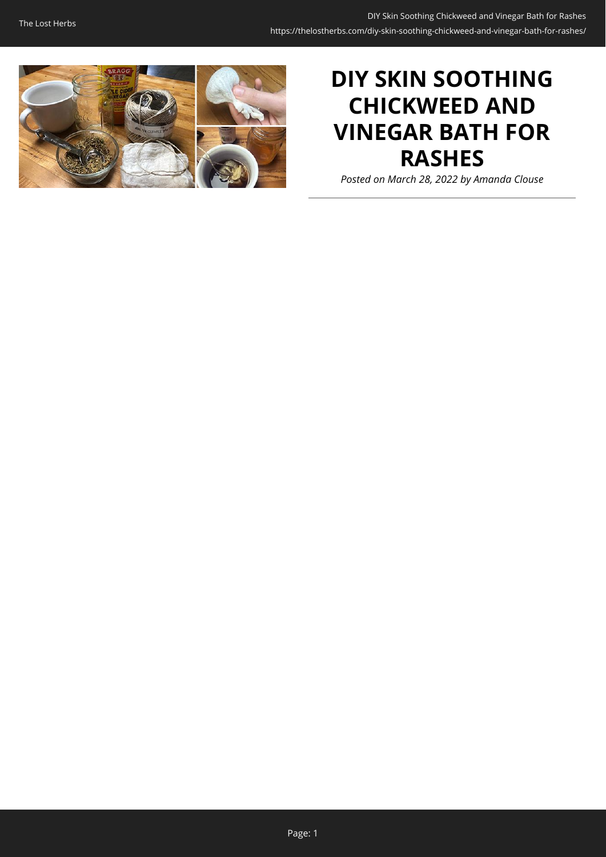

# **DIY SKIN SOOTHING CHICKWEED AND VINEGAR BATH FOR RASHES**

*Posted on March 28, 2022 by Amanda Clouse*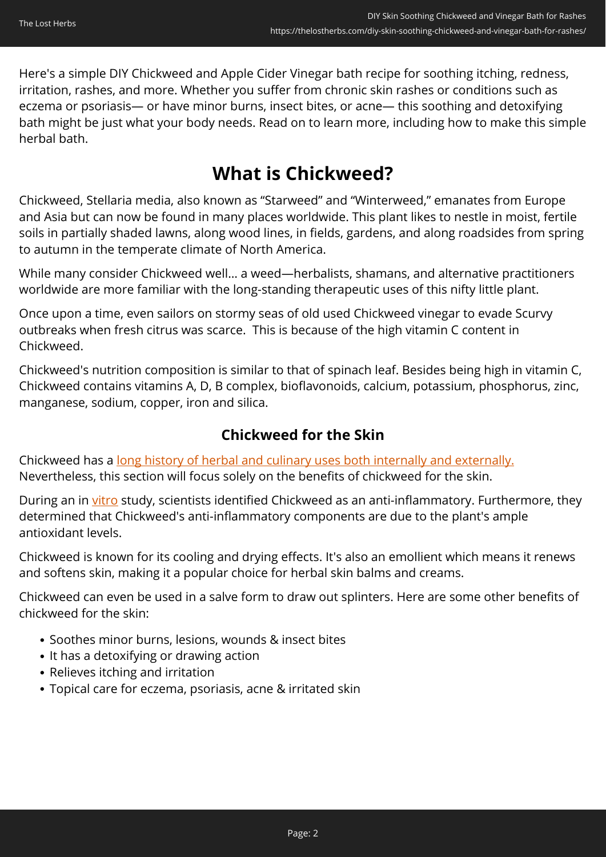Here's a simple DIY Chickweed and Apple Cider Vinegar bath recipe for soothing itching, redness, irritation, rashes, and more. Whether you suffer from chronic skin rashes or conditions such as eczema or psoriasis— or have minor burns, insect bites, or acne— this soothing and detoxifying bath might be just what your body needs. Read on to learn more, including how to make this simple herbal bath.

## **What is Chickweed?**

Chickweed, Stellaria media, also known as "Starweed" and "Winterweed," emanates from Europe and Asia but can now be found in many places worldwide. This plant likes to nestle in moist, fertile soils in partially shaded lawns, along wood lines, in fields, gardens, and along roadsides from spring to autumn in the temperate climate of North America.

While many consider Chickweed well… a weed—herbalists, shamans, and alternative practitioners worldwide are more familiar with the long-standing therapeutic uses of this nifty little plant.

Once upon a time, even sailors on stormy seas of old used Chickweed vinegar to evade Scurvy outbreaks when fresh citrus was scarce. This is because of the high vitamin C content in Chickweed.

Chickweed's nutrition composition is similar to that of spinach leaf. Besides being high in vitamin C, Chickweed contains vitamins A, D, B complex, bioflavonoids, calcium, potassium, phosphorus, zinc, manganese, sodium, copper, iron and silica.

## **Chickweed for the Skin**

Chickweed has a [long history of herbal and culinary uses both internally and externally.](https://books.google.com/books?hl=en&lr=&id=qi4E7pLA3FQC&oi=fnd&pg=PA42&dq=medicinal+benefits+of+chickweed&ots=_4YvJzQxDn&sig=JNJYNq-ghHqMcLj0WAYTKivMkDs#v=onepage&q&f=false) Nevertheless, this section will focus solely on the benefits of chickweed for the skin.

During an in [vitro](https://www.sciencedirect.com/science/article/abs/pii/S0926669016308895) study, scientists identified Chickweed as an anti-inflammatory. Furthermore, they determined that Chickweed's anti-inflammatory components are due to the plant's ample antioxidant levels.

Chickweed is known for its cooling and drying effects. It's also an emollient which means it renews and softens skin, making it a popular choice for herbal skin balms and creams.

Chickweed can even be used in a salve form to draw out splinters. Here are some other benefits of chickweed for the skin:

- Soothes minor burns, lesions, wounds & insect bites
- It has a detoxifying or drawing action
- Relieves itching and irritation
- Topical care for eczema, psoriasis, acne & irritated skin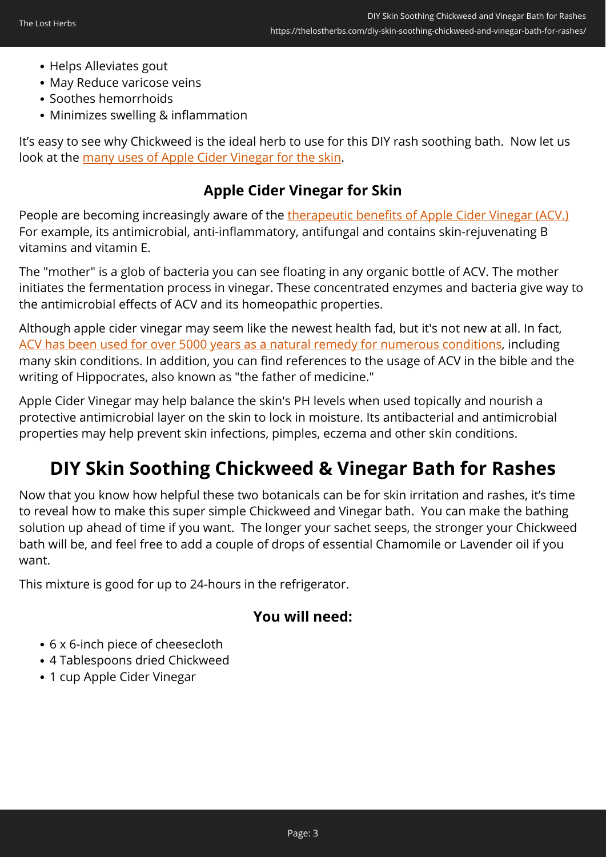- Helps Alleviates gout
- May Reduce varicose veins
- Soothes hemorrhoids
- Minimizes swelling & inflammation

It's easy to see why Chickweed is the ideal herb to use for this DIY rash soothing bath. Now let us look at the [many uses of Apple Cider Vinegar for the skin](https://www.nature.com/articles/s41598-020-78407-x).

## **Apple Cider Vinegar for Skin**

People are becoming increasingly aware of the [therapeutic benefits of Apple Cider Vinegar \(ACV.\)](https://www.publish.csiro.au/hc/pdf/HC19561) For example, its antimicrobial, anti-inflammatory, antifungal and contains skin-rejuvenating B vitamins and vitamin E.

The "mother" is a glob of bacteria you can see floating in any organic bottle of ACV. The mother initiates the fermentation process in vinegar. These concentrated enzymes and bacteria give way to the antimicrobial effects of ACV and its homeopathic properties.

Although apple cider vinegar may seem like the newest health fad, but it's not new at all. In fact, [ACV has been used for over 5000 years as a natural remedy for numerous conditions](https://books.google.com/books?hl=en&lr=&id=H3XrDQAAQBAJ&oi=fnd&pg=PA7&dq=vinegar+for+skin&ots=TKEJKCGjkb&sig=uU4MdXRDsVddJ1buth9EjluINyk#v=onepage&q=vinegar%20for%20skin&f=false), including many skin conditions. In addition, you can find references to the usage of ACV in the bible and the writing of Hippocrates, also known as "the father of medicine."

Apple Cider Vinegar may help balance the skin's PH levels when used topically and nourish a protective antimicrobial layer on the skin to lock in moisture. Its antibacterial and antimicrobial properties may help prevent skin infections, pimples, eczema and other skin conditions.

## **DIY Skin Soothing Chickweed & Vinegar Bath for Rashes**

Now that you know how helpful these two botanicals can be for skin irritation and rashes, it's time to reveal how to make this super simple Chickweed and Vinegar bath. You can make the bathing solution up ahead of time if you want. The longer your sachet seeps, the stronger your Chickweed bath will be, and feel free to add a couple of drops of essential Chamomile or Lavender oil if you want.

This mixture is good for up to 24-hours in the refrigerator.

### **You will need:**

- 6 x 6-inch piece of cheesecloth
- 4 Tablespoons dried Chickweed
- 1 cup Apple Cider Vinegar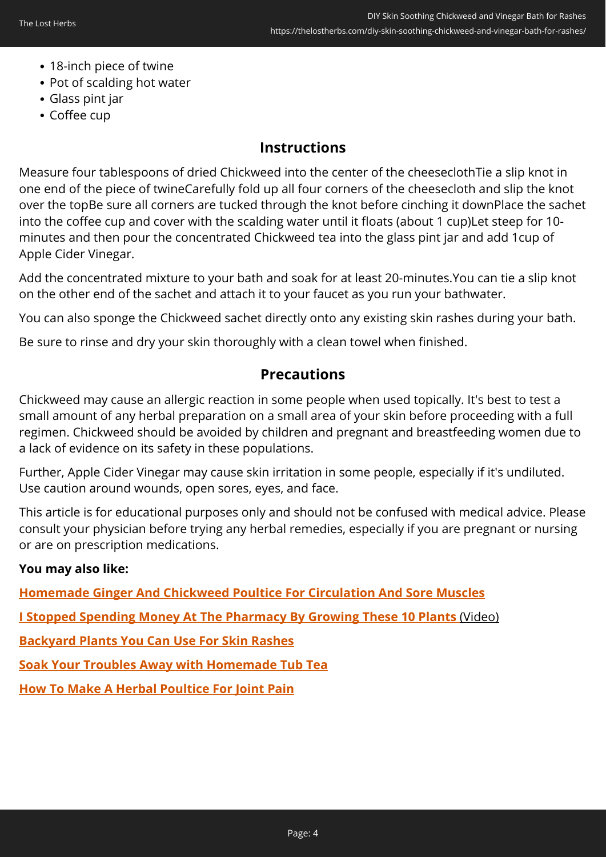- 18-inch piece of twine
- Pot of scalding hot water
- Glass pint jar
- Coffee cup

### **Instructions**

Measure four tablespoons of dried Chickweed into the center of the cheeseclothTie a slip knot in one end of the piece of twineCarefully fold up all four corners of the cheesecloth and slip the knot over the topBe sure all corners are tucked through the knot before cinching it downPlace the sachet into the coffee cup and cover with the scalding water until it floats (about 1 cup)Let steep for 10 minutes and then pour the concentrated Chickweed tea into the glass pint jar and add 1cup of Apple Cider Vinegar.

Add the concentrated mixture to your bath and soak for at least 20-minutes.You can tie a slip knot on the other end of the sachet and attach it to your faucet as you run your bathwater.

You can also sponge the Chickweed sachet directly onto any existing skin rashes during your bath.

Be sure to rinse and dry your skin thoroughly with a clean towel when finished.

#### **Precautions**

Chickweed may cause an allergic reaction in some people when used topically. It's best to test a small amount of any herbal preparation on a small area of your skin before proceeding with a full regimen. Chickweed should be avoided by children and pregnant and breastfeeding women due to a lack of evidence on its safety in these populations.

Further, Apple Cider Vinegar may cause skin irritation in some people, especially if it's undiluted. Use caution around wounds, open sores, eyes, and face.

This article is for educational purposes only and should not be confused with medical advice. Please consult your physician before trying any herbal remedies, especially if you are pregnant or nursing or are on prescription medications.

#### **You may also like:**

**[Homemade Ginger And Chickweed Poultice For Circulation And Sore Muscles](https://thelostherbs.com/homemade-ginger-and-chickweed-poultice-for-circulation-and-sore-muscles/)**

**[I Stopped Spending Money At The Pharmacy By Growing These 10 Plants](https://hop.clickbank.net/?affiliate=lostherbs&vendor=bookofren&tid=C02ChickweedBathMK)** [\(Video\)](https://hop.clickbank.net/?affiliate=easycellar&vendor=bookofren&tid=C02)

**[Backyard Plants You Can Use For Skin Rashes](https://thelostherbs.com/backyard-plants-you-can-use-for-skin-rashes/)**

**[Soak Your Troubles Away with Homemade Tub Tea](https://thelostherbs.com/soak-your-troubles-away-with-homemade-tub-tea/)**

**[How To Make A Herbal Poultice For Joint Pain](https://thelostherbs.com/how-to-make-a-herbal-poultice-for-joint-paint/)**